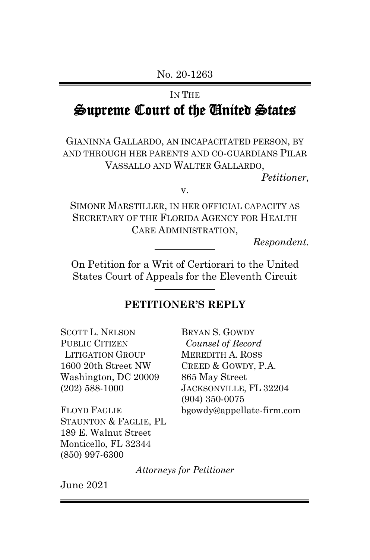#### No. 20-1263

#### IN THE

# Supreme Court of the United States

GIANINNA GALLARDO, AN INCAPACITATED PERSON, BY AND THROUGH HER PARENTS AND CO-GUARDIANS PILAR VASSALLO AND WALTER GALLARDO,

*Petitioner,*

v.

SIMONE MARSTILLER, IN HER OFFICIAL CAPACITY AS SECRETARY OF THE FLORIDA AGENCY FOR HEALTH CARE ADMINISTRATION,

*Respondent.*

On Petition for a Writ of Certiorari to the United States Court of Appeals for the Eleventh Circuit

### **PETITIONER'S REPLY**

| <b>SCOTT L. NELSON</b>  | <b>BRYAN S. GOWDY</b>     |
|-------------------------|---------------------------|
| <b>PUBLIC CITIZEN</b>   | Counsel of Record         |
| <b>LITIGATION GROUP</b> | <b>MEREDITH A. ROSS</b>   |
| 1600 20th Street NW     | CREED & GOWDY, P.A.       |
| Washington, DC 20009    | 865 May Street            |
| $(202)$ 588-1000        | JACKSONVILLE, FL 32204    |
|                         | $(904)$ 350-0075          |
| <b>FLOYD FAGLIE</b>     | bgowdy@appellate-firm.com |
| STAUNTON & FAGLIE, PL   |                           |
| 189 E. Walnut Street    |                           |
| Monticello, FL 32344    |                           |
| $(850)$ 997-6300        |                           |

*Attorneys for Petitioner*

June 2021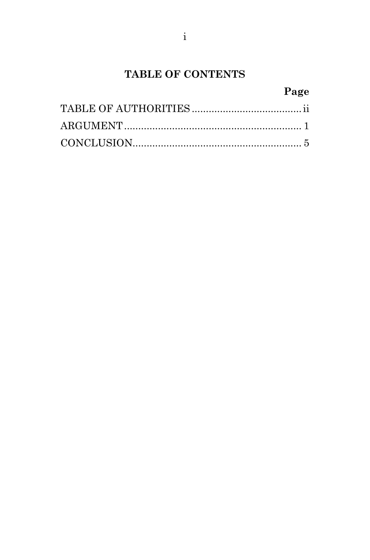# TABLE OF CONTENTS

## Page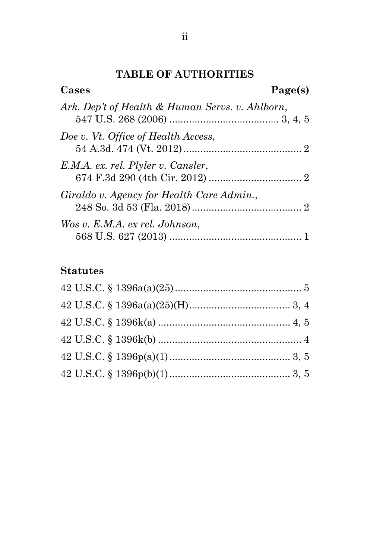### **TABLE OF AUTHORITIES**

| Cases                                           | Page(s) |
|-------------------------------------------------|---------|
| Ark. Dep't of Health & Human Servs. v. Ahlborn, |         |
| Doe v. Vt. Office of Health Access,             |         |
| E.M.A. ex. rel. Plyler v. Cansler,              |         |
| Giraldo v. Agency for Health Care Admin.,       |         |
| Wos v. E.M.A. ex rel. Johnson,                  |         |

## **Statutes**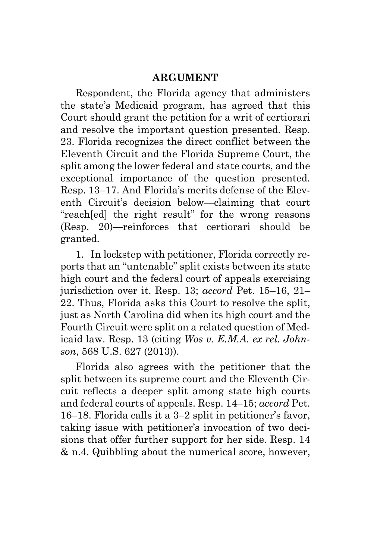### **ARGUMENT**

Respondent, the Florida agency that administers the state's Medicaid program, has agreed that this Court should grant the petition for a writ of certiorari and resolve the important question presented. Resp. 23. Florida recognizes the direct conflict between the Eleventh Circuit and the Florida Supreme Court, the split among the lower federal and state courts, and the exceptional importance of the question presented. Resp. 13–17. And Florida's merits defense of the Eleventh Circuit's decision below—claiming that court "reach[ed] the right result" for the wrong reasons (Resp. 20)—reinforces that certiorari should be granted.

1. In lockstep with petitioner, Florida correctly reports that an "untenable" split exists between its state high court and the federal court of appeals exercising jurisdiction over it. Resp. 13; *accord* Pet. 15–16, 21– 22. Thus, Florida asks this Court to resolve the split, just as North Carolina did when its high court and the Fourth Circuit were split on a related question of Medicaid law. Resp. 13 (citing *Wos v. E.M.A. ex rel. Johnson*, 568 U.S. 627 (2013)).

Florida also agrees with the petitioner that the split between its supreme court and the Eleventh Circuit reflects a deeper split among state high courts and federal courts of appeals. Resp. 14–15; *accord* Pet. 16–18. Florida calls it a 3–2 split in petitioner's favor, taking issue with petitioner's invocation of two decisions that offer further support for her side. Resp. 14 & n.4. Quibbling about the numerical score, however,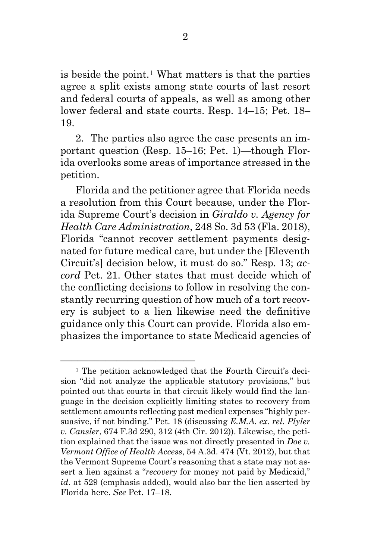is beside the point.<sup>[1](#page-4-0)</sup> What matters is that the parties agree a split exists among state courts of last resort and federal courts of appeals, as well as among other lower federal and state courts. Resp. 14–15; Pet. 18– 19.

2. The parties also agree the case presents an important question (Resp. 15–16; Pet. 1)—though Florida overlooks some areas of importance stressed in the petition.

Florida and the petitioner agree that Florida needs a resolution from this Court because, under the Florida Supreme Court's decision in *Giraldo v. Agency for Health Care Administration*, 248 So. 3d 53 (Fla. 2018), Florida "cannot recover settlement payments designated for future medical care, but under the [Eleventh Circuit's] decision below, it must do so." Resp. 13; *accord* Pet. 21. Other states that must decide which of the conflicting decisions to follow in resolving the constantly recurring question of how much of a tort recovery is subject to a lien likewise need the definitive guidance only this Court can provide. Florida also emphasizes the importance to state Medicaid agencies of

––––––––––––––––––––––––

<span id="page-4-0"></span><sup>1</sup> The petition acknowledged that the Fourth Circuit's decision "did not analyze the applicable statutory provisions," but pointed out that courts in that circuit likely would find the language in the decision explicitly limiting states to recovery from settlement amounts reflecting past medical expenses "highly persuasive, if not binding." Pet. 18 (discussing *E.M.A. ex. rel. Plyler v. Cansler*, 674 F.3d 290, 312 (4th Cir. 2012)). Likewise, the petition explained that the issue was not directly presented in *Doe v. Vermont Office of Health Access*, 54 A.3d. 474 (Vt. 2012), but that the Vermont Supreme Court's reasoning that a state may not assert a lien against a "*recovery* for money not paid by Medicaid," *id*. at 529 (emphasis added), would also bar the lien asserted by Florida here. *See* Pet. 17–18.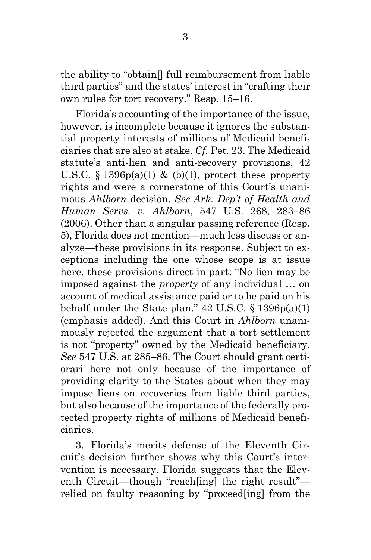the ability to "obtain[] full reimbursement from liable third parties" and the states' interest in "crafting their own rules for tort recovery." Resp. 15–16.

Florida's accounting of the importance of the issue, however, is incomplete because it ignores the substantial property interests of millions of Medicaid beneficiaries that are also at stake. *Cf.* Pet. 23. The Medicaid statute's anti-lien and anti-recovery provisions, 42 U.S.C.  $\S$  1396p(a)(1) & (b)(1), protect these property rights and were a cornerstone of this Court's unanimous *Ahlborn* decision. *See Ark. Dep't of Health and Human Servs. v. Ahlborn*, 547 U.S. 268, 283–86 (2006). Other than a singular passing reference (Resp. 5), Florida does not mention—much less discuss or analyze—these provisions in its response. Subject to exceptions including the one whose scope is at issue here, these provisions direct in part: "No lien may be imposed against the *property* of any individual … on account of medical assistance paid or to be paid on his behalf under the State plan."  $42 \text{ U.S.C.}$  §  $1396p(a)(1)$ (emphasis added). And this Court in *Ahlborn* unanimously rejected the argument that a tort settlement is not "property" owned by the Medicaid beneficiary. *See* 547 U.S. at 285–86. The Court should grant certiorari here not only because of the importance of providing clarity to the States about when they may impose liens on recoveries from liable third parties, but also because of the importance of the federally protected property rights of millions of Medicaid beneficiaries.

3. Florida's merits defense of the Eleventh Circuit's decision further shows why this Court's intervention is necessary. Florida suggests that the Eleventh Circuit—though "reach[ing] the right result" relied on faulty reasoning by "proceed[ing] from the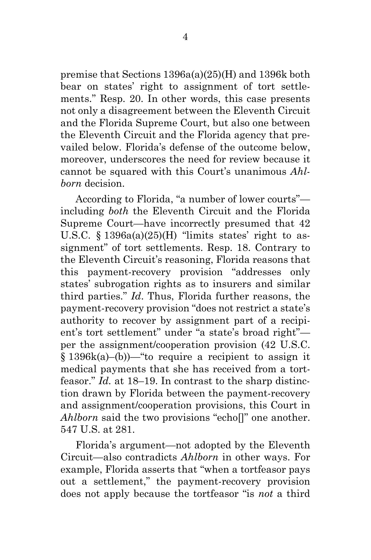premise that Sections 1396a(a)(25)(H) and 1396k both bear on states' right to assignment of tort settlements." Resp. 20. In other words, this case presents not only a disagreement between the Eleventh Circuit and the Florida Supreme Court, but also one between the Eleventh Circuit and the Florida agency that prevailed below. Florida's defense of the outcome below, moreover, underscores the need for review because it cannot be squared with this Court's unanimous *Ahlborn* decision.

According to Florida, "a number of lower courts" including *both* the Eleventh Circuit and the Florida Supreme Court—have incorrectly presumed that 42 U.S.C.  $\S$  1396a(a)(25)(H) "limits states' right to assignment" of tort settlements. Resp. 18. Contrary to the Eleventh Circuit's reasoning, Florida reasons that this payment-recovery provision "addresses only states' subrogation rights as to insurers and similar third parties." *Id*. Thus, Florida further reasons, the payment-recovery provision "does not restrict a state's authority to recover by assignment part of a recipient's tort settlement" under "a state's broad right" per the assignment/cooperation provision (42 U.S.C. § 1396k(a)–(b))—"to require a recipient to assign it medical payments that she has received from a tortfeasor." *Id.* at 18–19. In contrast to the sharp distinction drawn by Florida between the payment-recovery and assignment/cooperation provisions, this Court in *Ahlborn* said the two provisions "echol" one another. 547 U.S. at 281.

Florida's argument—not adopted by the Eleventh Circuit—also contradicts *Ahlborn* in other ways. For example, Florida asserts that "when a tortfeasor pays out a settlement," the payment-recovery provision does not apply because the tortfeasor "is *not* a third